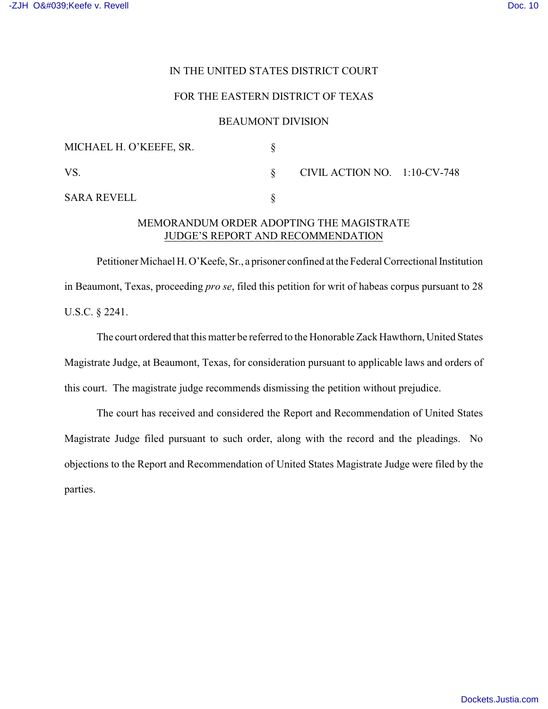### IN THE UNITED STATES DISTRICT COURT

#### FOR THE EASTERN DISTRICT OF TEXAS

#### BEAUMONT DIVISION

| MICHAEL H. O'KEEFE, SR. |                                 |  |
|-------------------------|---------------------------------|--|
| VS.                     | CIVIL ACTION NO. $1:10$ -CV-748 |  |
| <b>SARA REVELL</b>      |                                 |  |

## MEMORANDUM ORDER ADOPTING THE MAGISTRATE JUDGE'S REPORT AND RECOMMENDATION

Petitioner Michael H. O'Keefe, Sr., a prisoner confined at the Federal Correctional Institution in Beaumont, Texas, proceeding *pro se*, filed this petition for writ of habeas corpus pursuant to 28 U.S.C. § 2241.

The court ordered that this matter be referred to the Honorable Zack Hawthorn, United States Magistrate Judge, at Beaumont, Texas, for consideration pursuant to applicable laws and orders of this court. The magistrate judge recommends dismissing the petition without prejudice.

The court has received and considered the Report and Recommendation of United States Magistrate Judge filed pursuant to such order, along with the record and the pleadings. No objections to the Report and Recommendation of United States Magistrate Judge were filed by the parties.